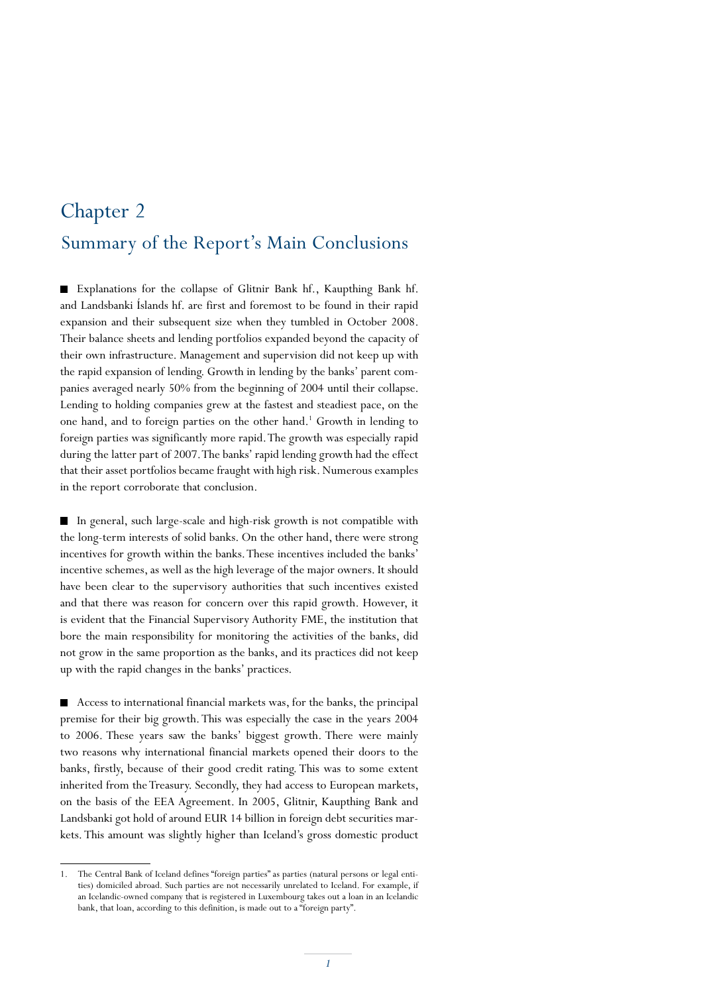## Summary of the Report's Main Conclusions Chapter 2

Explanations for the collapse of Glitnir Bank hf., Kaupthing Bank hf. and Landsbanki Íslands hf. are first and foremost to be found in their rapid expansion and their subsequent size when they tumbled in October 2008. Their balance sheets and lending portfolios expanded beyond the capacity of their own infrastructure. Management and supervision did not keep up with the rapid expansion of lending. Growth in lending by the banks' parent companies averaged nearly 50% from the beginning of 2004 until their collapse. Lending to holding companies grew at the fastest and steadiest pace, on the one hand, and to foreign parties on the other hand.<sup>1</sup> Growth in lending to foreign parties was significantly more rapid. The growth was especially rapid during the latter part of 2007. The banks' rapid lending growth had the effect that their asset portfolios became fraught with high risk. Numerous examples in the report corroborate that conclusion.

In general, such large-scale and high-risk growth is not compatible with the long-term interests of solid banks. On the other hand, there were strong incentives for growth within the banks. These incentives included the banks' incentive schemes, as well as the high leverage of the major owners. It should have been clear to the supervisory authorities that such incentives existed and that there was reason for concern over this rapid growth. However, it is evident that the Financial Supervisory Authority FME, the institution that bore the main responsibility for monitoring the activities of the banks, did not grow in the same proportion as the banks, and its practices did not keep up with the rapid changes in the banks' practices.

Access to international financial markets was, for the banks, the principal premise for their big growth. This was especially the case in the years 2004 to 2006. These years saw the banks' biggest growth. There were mainly two reasons why international financial markets opened their doors to the banks, firstly, because of their good credit rating. This was to some extent inherited from the Treasury. Secondly, they had access to European markets, on the basis of the EEA Agreement. In 2005, Glitnir, Kaupthing Bank and Landsbanki got hold of around EUR 14 billion in foreign debt securities markets. This amount was slightly higher than Iceland's gross domestic product

<sup>1.</sup> The Central Bank of Iceland defines "foreign parties" as parties (natural persons or legal entities) domiciled abroad. Such parties are not necessarily unrelated to Iceland. For example, if an Icelandic-owned company that is registered in Luxembourg takes out a loan in an Icelandic bank, that loan, according to this definition, is made out to a "foreign party".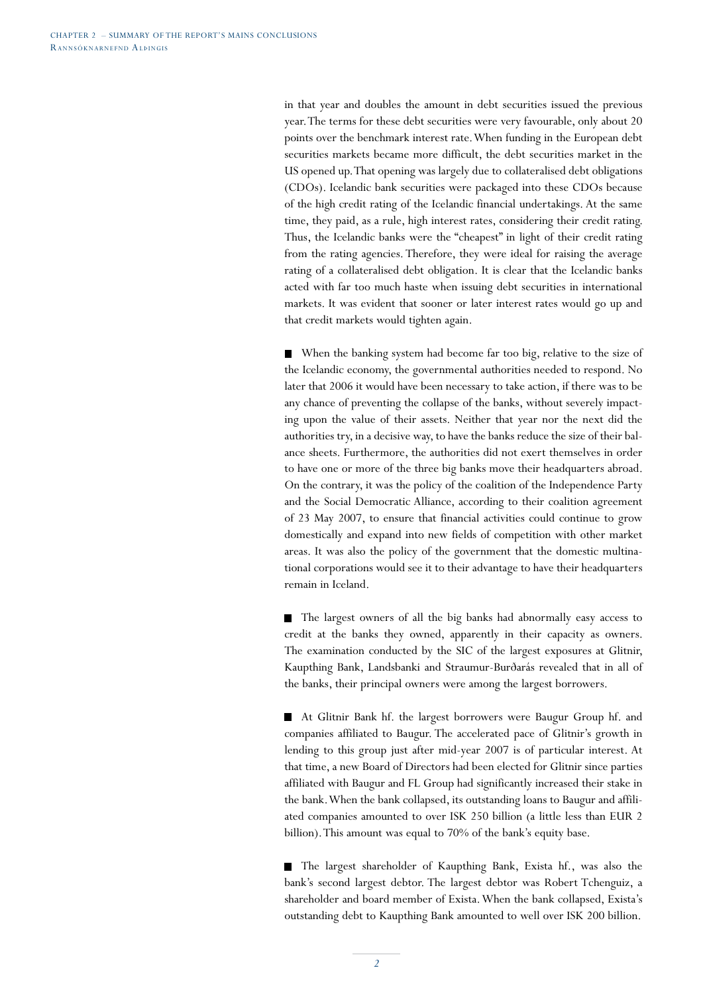in that year and doubles the amount in debt securities issued the previous year. The terms for these debt securities were very favourable, only about 20 points over the benchmark interest rate. When funding in the European debt securities markets became more difficult, the debt securities market in the US opened up. That opening was largely due to collateralised debt obligations (CDOs). Icelandic bank securities were packaged into these CDOs because of the high credit rating of the Icelandic financial undertakings. At the same time, they paid, as a rule, high interest rates, considering their credit rating. Thus, the Icelandic banks were the "cheapest" in light of their credit rating from the rating agencies. Therefore, they were ideal for raising the average rating of a collateralised debt obligation. It is clear that the Icelandic banks acted with far too much haste when issuing debt securities in international markets. It was evident that sooner or later interest rates would go up and that credit markets would tighten again.

When the banking system had become far too big, relative to the size of the Icelandic economy, the governmental authorities needed to respond. No later that 2006 it would have been necessary to take action, if there was to be any chance of preventing the collapse of the banks, without severely impacting upon the value of their assets. Neither that year nor the next did the authorities try, in a decisive way, to have the banks reduce the size of their balance sheets. Furthermore, the authorities did not exert themselves in order to have one or more of the three big banks move their headquarters abroad. On the contrary, it was the policy of the coalition of the Independence Party and the Social Democratic Alliance, according to their coalition agreement of 23 May 2007, to ensure that financial activities could continue to grow domestically and expand into new fields of competition with other market areas. It was also the policy of the government that the domestic multinational corporations would see it to their advantage to have their headquarters remain in Iceland.

The largest owners of all the big banks had abnormally easy access to credit at the banks they owned, apparently in their capacity as owners. The examination conducted by the SIC of the largest exposures at Glitnir, Kaupthing Bank, Landsbanki and Straumur-Burðarás revealed that in all of the banks, their principal owners were among the largest borrowers.

At Glitnir Bank hf. the largest borrowers were Baugur Group hf. and companies affiliated to Baugur. The accelerated pace of Glitnir's growth in lending to this group just after mid-year 2007 is of particular interest. At that time, a new Board of Directors had been elected for Glitnir since parties affiliated with Baugur and FL Group had significantly increased their stake in the bank. When the bank collapsed, its outstanding loans to Baugur and affiliated companies amounted to over ISK 250 billion (a little less than EUR 2 billion). This amount was equal to 70% of the bank's equity base.

The largest shareholder of Kaupthing Bank, Exista hf., was also the bank's second largest debtor. The largest debtor was Robert Tchenguiz, a shareholder and board member of Exista. When the bank collapsed, Exista's outstanding debt to Kaupthing Bank amounted to well over ISK 200 billion.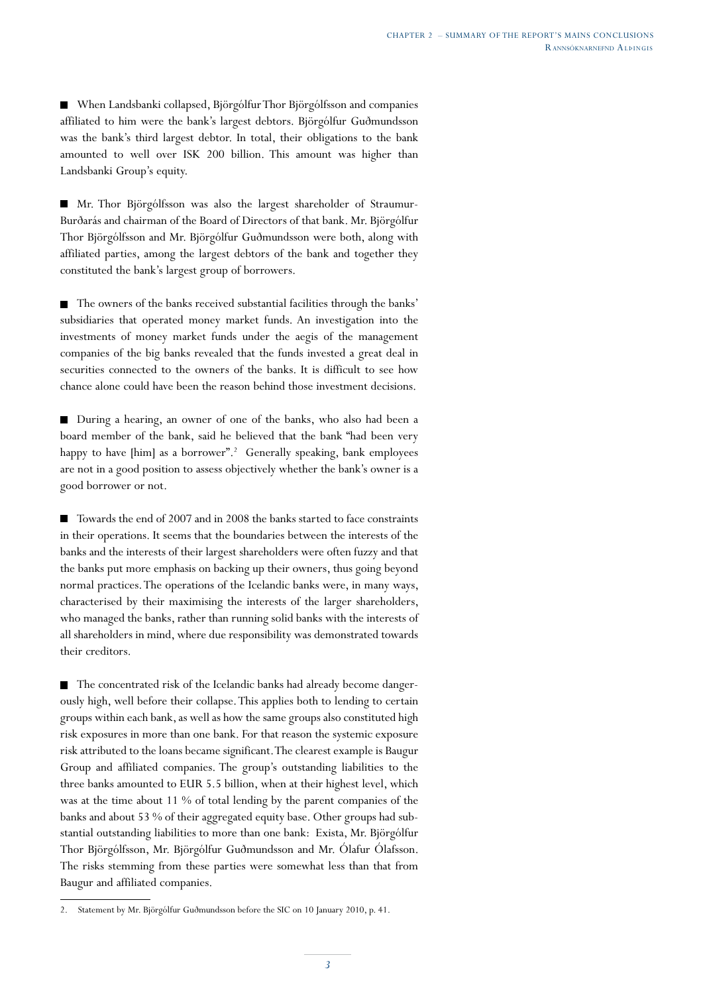When Landsbanki collapsed, Björgólfur Thor Björgólfsson and companies affiliated to him were the bank's largest debtors. Björgólfur Guðmundsson was the bank's third largest debtor. In total, their obligations to the bank amounted to well over ISK 200 billion. This amount was higher than Landsbanki Group's equity.

Mr. Thor Björgólfsson was also the largest shareholder of Straumur-Burðarás and chairman of the Board of Directors of that bank. Mr. Björgólfur Thor Björgólfsson and Mr. Björgólfur Guðmundsson were both, along with affiliated parties, among the largest debtors of the bank and together they constituted the bank's largest group of borrowers.

The owners of the banks received substantial facilities through the banks' subsidiaries that operated money market funds. An investigation into the investments of money market funds under the aegis of the management companies of the big banks revealed that the funds invested a great deal in securities connected to the owners of the banks. It is difficult to see how chance alone could have been the reason behind those investment decisions.

During a hearing, an owner of one of the banks, who also had been a board member of the bank, said he believed that the bank "had been very happy to have [him] as a borrower".<sup>2</sup> Generally speaking, bank employees are not in a good position to assess objectively whether the bank's owner is a good borrower or not.

■ Towards the end of 2007 and in 2008 the banks started to face constraints in their operations. It seems that the boundaries between the interests of the banks and the interests of their largest shareholders were often fuzzy and that the banks put more emphasis on backing up their owners, thus going beyond normal practices. The operations of the Icelandic banks were, in many ways, characterised by their maximising the interests of the larger shareholders, who managed the banks, rather than running solid banks with the interests of all shareholders in mind, where due responsibility was demonstrated towards their creditors.

The concentrated risk of the Icelandic banks had already become dangerously high, well before their collapse. This applies both to lending to certain groups within each bank, as well as how the same groups also constituted high risk exposures in more than one bank. For that reason the systemic exposure risk attributed to the loans became significant. The clearest example is Baugur Group and affiliated companies. The group's outstanding liabilities to the three banks amounted to EUR 5.5 billion, when at their highest level, which was at the time about 11 % of total lending by the parent companies of the banks and about 53 % of their aggregated equity base. Other groups had substantial outstanding liabilities to more than one bank: Exista, Mr. Björgólfur Thor Björgólfsson, Mr. Björgólfur Guðmundsson and Mr. Ólafur Ólafsson. The risks stemming from these parties were somewhat less than that from Baugur and affiliated companies.

<sup>2.</sup> Statement by Mr. Björgólfur Guðmundsson before the SIC on 10 January 2010, p. 41.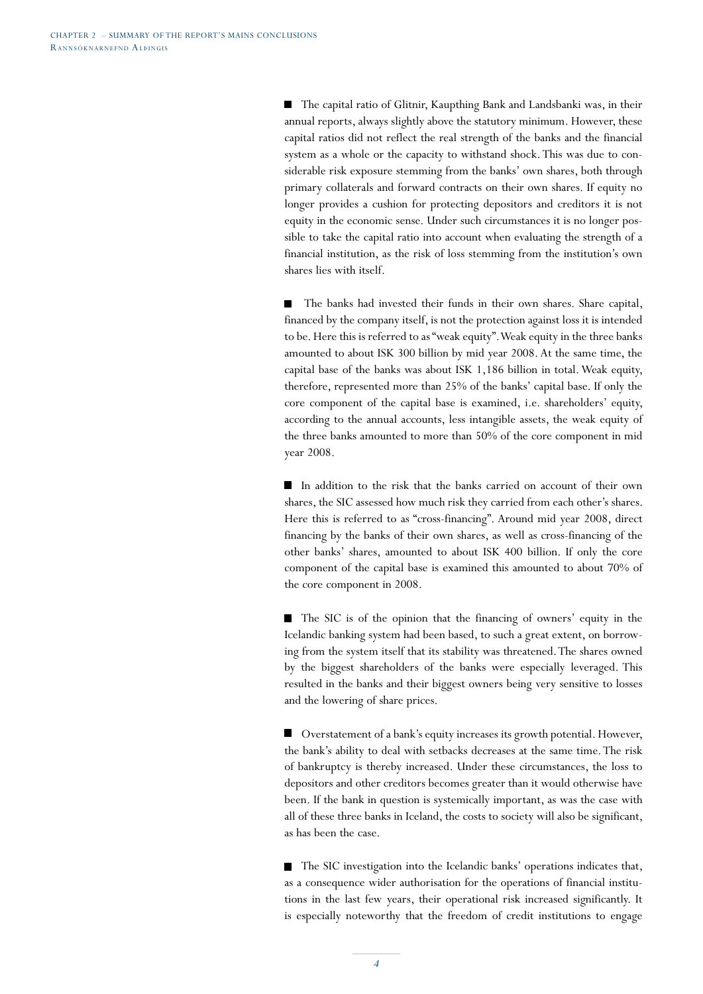■ The capital ratio of Glitnir, Kaupthing Bank and Landsbanki was, in their annual reports, always slightly above the statutory minimum. However, these capital ratios did not reflect the real strength of the banks and the financial system as a whole or the capacity to withstand shock. This was due to considerable risk exposure stemming from the banks' own shares, both through primary collaterals and forward contracts on their own shares. If equity no longer provides a cushion for protecting depositors and creditors it is not equity in the economic sense. Under such circumstances it is no longer possible to take the capital ratio into account when evaluating the strength of a financial institution, as the risk of loss stemming from the institution's own shares lies with itself.

 $\blacksquare$  The banks had invested their funds in their own shares. Share capital, financed by the company itself, is not the protection against loss it is intended to be. Here this is referred to as "weak equity". Weak equity in the three banks amounted to about ISK 300 billion by mid year 2008. At the same time, the capital base of the banks was about ISK 1,186 billion in total. Weak equity, therefore, represented more than 25% of the banks' capital base. If only the core component of the capital base is examined, i.e. shareholders' equity, according to the annual accounts, less intangible assets, the weak equity of the three banks amounted to more than 50% of the core component in mid year 2008.

In addition to the risk that the banks carried on account of their own shares, the SIC assessed how much risk they carried from each other's shares. Here this is referred to as "cross-financing". Around mid year 2008, direct financing by the banks of their own shares, as well as cross-financing of the other banks' shares, amounted to about ISK 400 billion. If only the core component of the capital base is examined this amounted to about 70% of the core component in 2008.

The SIC is of the opinion that the financing of owners' equity in the Icelandic banking system had been based, to such a great extent, on borrowing from the system itself that its stability was threatened. The shares owned by the biggest shareholders of the banks were especially leveraged. This resulted in the banks and their biggest owners being very sensitive to losses and the lowering of share prices.

■ Overstatement of a bank's equity increases its growth potential. However, the bank's ability to deal with setbacks decreases at the same time. The risk of bankruptcy is thereby increased. Under these circumstances, the loss to depositors and other creditors becomes greater than it would otherwise have been. If the bank in question is systemically important, as was the case with all of these three banks in Iceland, the costs to society will also be significant, as has been the case.

The SIC investigation into the Icelandic banks' operations indicates that, as a consequence wider authorisation for the operations of financial institutions in the last few years, their operational risk increased significantly. It is especially noteworthy that the freedom of credit institutions to engage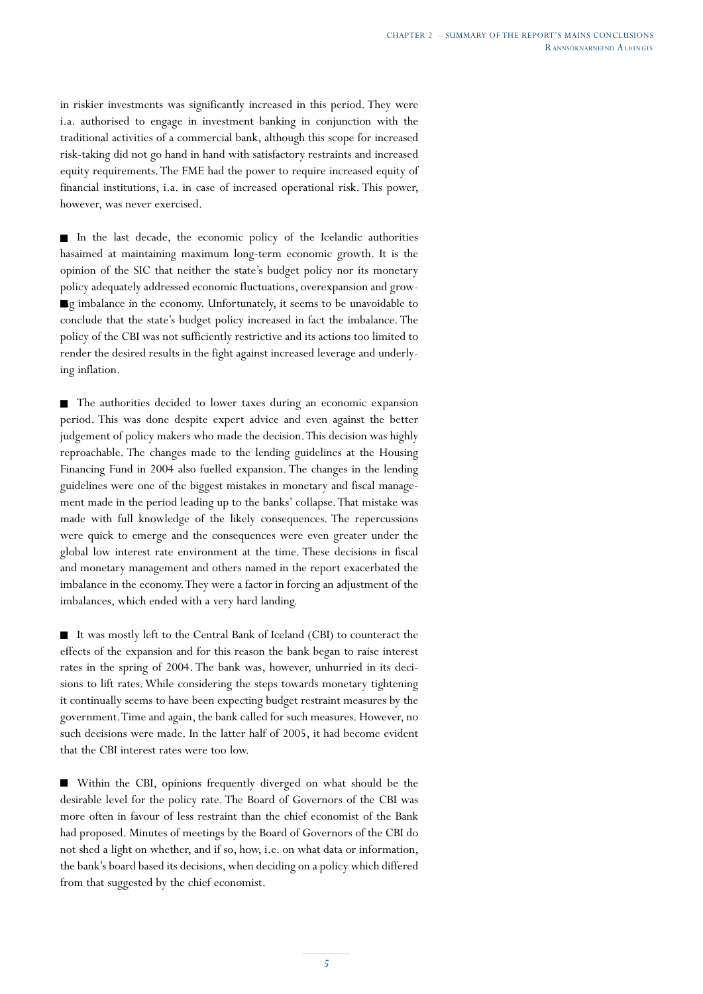in riskier investments was significantly increased in this period. They were i.a. authorised to engage in investment banking in conjunction with the traditional activities of a commercial bank, although this scope for increased risk-taking did not go hand in hand with satisfactory restraints and increased equity requirements. The FME had the power to require increased equity of financial institutions, i.a. in case of increased operational risk. This power, however, was never exercised.

In the last decade, the economic policy of the Icelandic authorities hasaimed at maintaining maximum long-term economic growth. It is the opinion of the SIC that neither the state's budget policy nor its monetary policy adequately addressed economic fluctuations, overexpansion and growg imbalance in the economy. Unfortunately, it seems to be unavoidable to conclude that the state's budget policy increased in fact the imbalance. The policy of the CBI was not sufficiently restrictive and its actions too limited to render the desired results in the fight against increased leverage and underlying inflation.

The authorities decided to lower taxes during an economic expansion period. This was done despite expert advice and even against the better judgement of policy makers who made the decision. This decision was highly reproachable. The changes made to the lending guidelines at the Housing Financing Fund in 2004 also fuelled expansion. The changes in the lending guidelines were one of the biggest mistakes in monetary and fiscal management made in the period leading up to the banks' collapse. That mistake was made with full knowledge of the likely consequences. The repercussions were quick to emerge and the consequences were even greater under the global low interest rate environment at the time. These decisions in fiscal and monetary management and others named in the report exacerbated the imbalance in the economy. They were a factor in forcing an adjustment of the imbalances, which ended with a very hard landing.

It was mostly left to the Central Bank of Iceland (CBI) to counteract the effects of the expansion and for this reason the bank began to raise interest rates in the spring of 2004. The bank was, however, unhurried in its decisions to lift rates. While considering the steps towards monetary tightening it continually seems to have been expecting budget restraint measures by the government. Time and again, the bank called for such measures. However, no such decisions were made. In the latter half of 2005, it had become evident that the CBI interest rates were too low.

Within the CBI, opinions frequently diverged on what should be the desirable level for the policy rate. The Board of Governors of the CBI was more often in favour of less restraint than the chief economist of the Bank had proposed. Minutes of meetings by the Board of Governors of the CBI do not shed a light on whether, and if so, how, i.e. on what data or information, the bank's board based its decisions, when deciding on a policy which differed from that suggested by the chief economist.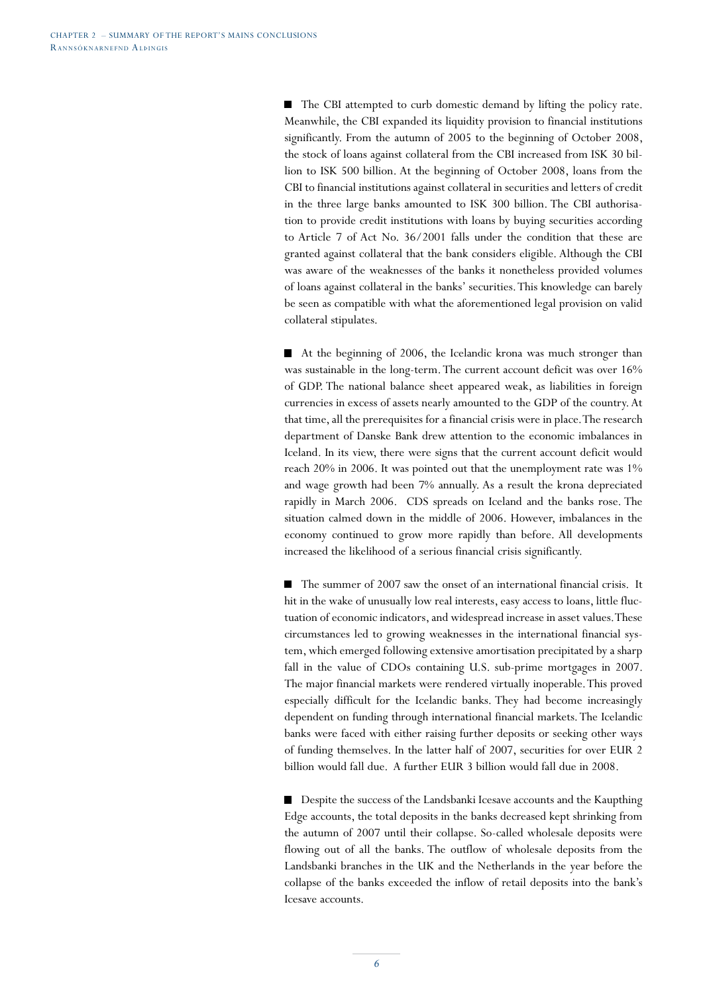■ The CBI attempted to curb domestic demand by lifting the policy rate. Meanwhile, the CBI expanded its liquidity provision to financial institutions significantly. From the autumn of 2005 to the beginning of October 2008, the stock of loans against collateral from the CBI increased from ISK 30 billion to ISK 500 billion. At the beginning of October 2008, loans from the CBI to financial institutions against collateral in securities and letters of credit in the three large banks amounted to ISK 300 billion. The CBI authorisation to provide credit institutions with loans by buying securities according to Article 7 of Act No. 36/2001 falls under the condition that these are granted against collateral that the bank considers eligible. Although the CBI was aware of the weaknesses of the banks it nonetheless provided volumes of loans against collateral in the banks' securities. This knowledge can barely be seen as compatible with what the aforementioned legal provision on valid collateral stipulates.

At the beginning of 2006, the Icelandic krona was much stronger than was sustainable in the long-term. The current account deficit was over 16% of GDP. The national balance sheet appeared weak, as liabilities in foreign currencies in excess of assets nearly amounted to the GDP of the country. At that time, all the prerequisites for a financial crisis were in place. The research department of Danske Bank drew attention to the economic imbalances in Iceland. In its view, there were signs that the current account deficit would reach 20% in 2006. It was pointed out that the unemployment rate was 1% and wage growth had been 7% annually. As a result the krona depreciated rapidly in March 2006. CDS spreads on Iceland and the banks rose. The situation calmed down in the middle of 2006. However, imbalances in the economy continued to grow more rapidly than before. All developments increased the likelihood of a serious financial crisis significantly.

П The summer of 2007 saw the onset of an international financial crisis. It hit in the wake of unusually low real interests, easy access to loans, little fluctuation of economic indicators, and widespread increase in asset values. These circumstances led to growing weaknesses in the international financial system, which emerged following extensive amortisation precipitated by a sharp fall in the value of CDOs containing U.S. sub-prime mortgages in 2007. The major financial markets were rendered virtually inoperable. This proved especially difficult for the Icelandic banks. They had become increasingly dependent on funding through international financial markets. The Icelandic banks were faced with either raising further deposits or seeking other ways of funding themselves. In the latter half of 2007, securities for over EUR 2 billion would fall due. A further EUR 3 billion would fall due in 2008.

Despite the success of the Landsbanki Icesave accounts and the Kaupthing Edge accounts, the total deposits in the banks decreased kept shrinking from the autumn of 2007 until their collapse. So-called wholesale deposits were flowing out of all the banks. The outflow of wholesale deposits from the Landsbanki branches in the UK and the Netherlands in the year before the collapse of the banks exceeded the inflow of retail deposits into the bank's Icesave accounts.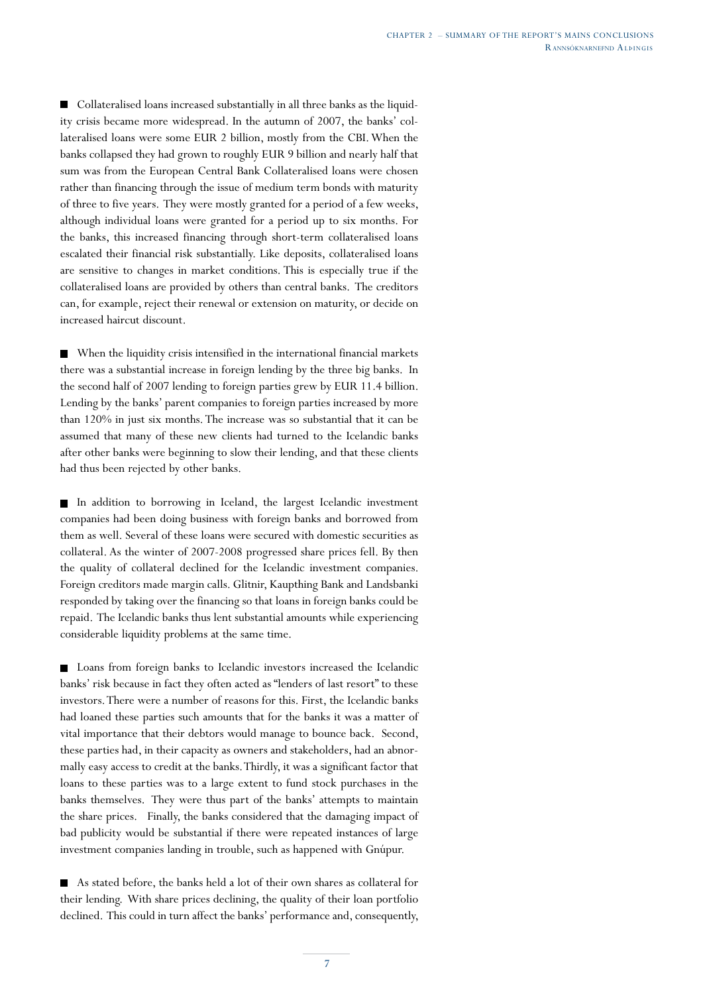Collateralised loans increased substantially in all three banks as the liquidity crisis became more widespread. In the autumn of 2007, the banks' collateralised loans were some EUR 2 billion, mostly from the CBI. When the banks collapsed they had grown to roughly EUR 9 billion and nearly half that sum was from the European Central Bank Collateralised loans were chosen rather than financing through the issue of medium term bonds with maturity of three to five years. They were mostly granted for a period of a few weeks, although individual loans were granted for a period up to six months. For the banks, this increased financing through short-term collateralised loans escalated their financial risk substantially. Like deposits, collateralised loans are sensitive to changes in market conditions. This is especially true if the collateralised loans are provided by others than central banks. The creditors can, for example, reject their renewal or extension on maturity, or decide on increased haircut discount.

When the liquidity crisis intensified in the international financial markets there was a substantial increase in foreign lending by the three big banks. In the second half of 2007 lending to foreign parties grew by EUR 11.4 billion. Lending by the banks' parent companies to foreign parties increased by more than 120% in just six months. The increase was so substantial that it can be assumed that many of these new clients had turned to the Icelandic banks after other banks were beginning to slow their lending, and that these clients had thus been rejected by other banks.

In addition to borrowing in Iceland, the largest Icelandic investment companies had been doing business with foreign banks and borrowed from them as well. Several of these loans were secured with domestic securities as collateral. As the winter of 2007-2008 progressed share prices fell. By then the quality of collateral declined for the Icelandic investment companies. Foreign creditors made margin calls. Glitnir, Kaupthing Bank and Landsbanki responded by taking over the financing so that loans in foreign banks could be repaid. The Icelandic banks thus lent substantial amounts while experiencing considerable liquidity problems at the same time.

Loans from foreign banks to Icelandic investors increased the Icelandic banks' risk because in fact they often acted as "lenders of last resort" to these investors. There were a number of reasons for this. First, the Icelandic banks had loaned these parties such amounts that for the banks it was a matter of vital importance that their debtors would manage to bounce back. Second, these parties had, in their capacity as owners and stakeholders, had an abnormally easy access to credit at the banks. Thirdly, it was a significant factor that loans to these parties was to a large extent to fund stock purchases in the banks themselves. They were thus part of the banks' attempts to maintain the share prices. Finally, the banks considered that the damaging impact of bad publicity would be substantial if there were repeated instances of large investment companies landing in trouble, such as happened with Gnúpur.

As stated before, the banks held a lot of their own shares as collateral for their lending. With share prices declining, the quality of their loan portfolio declined. This could in turn affect the banks' performance and, consequently,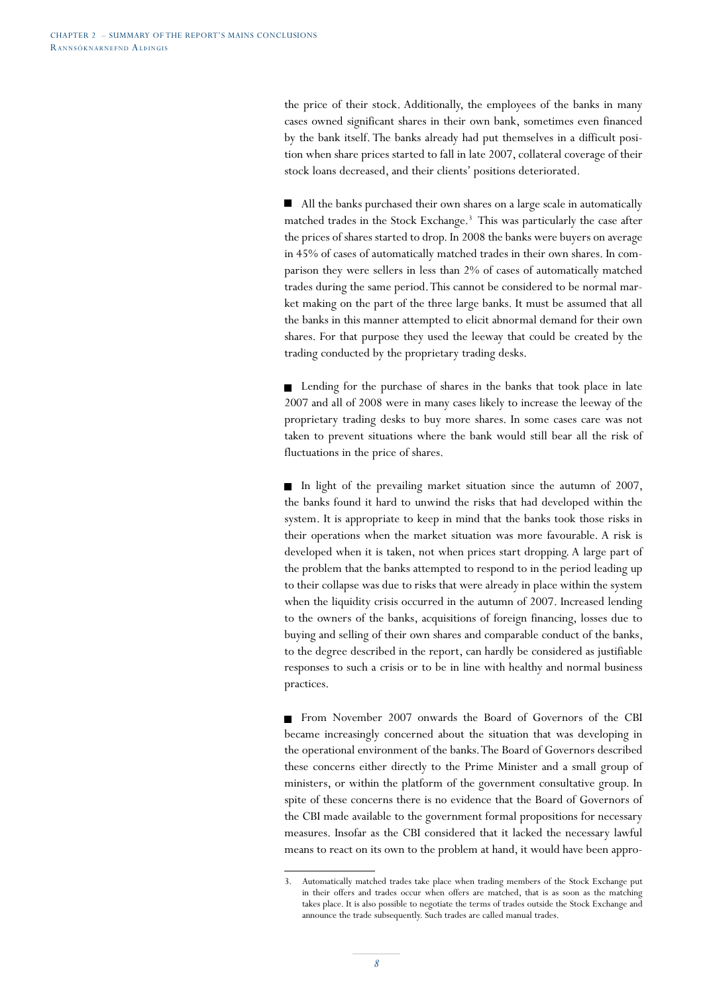the price of their stock. Additionally, the employees of the banks in many cases owned significant shares in their own bank, sometimes even financed by the bank itself. The banks already had put themselves in a difficult position when share prices started to fall in late 2007, collateral coverage of their stock loans decreased, and their clients' positions deteriorated.

All the banks purchased their own shares on a large scale in automatically matched trades in the Stock Exchange.<sup>3</sup> This was particularly the case after the prices of shares started to drop. In 2008 the banks were buyers on average in 45% of cases of automatically matched trades in their own shares. In comparison they were sellers in less than 2% of cases of automatically matched trades during the same period. This cannot be considered to be normal market making on the part of the three large banks. It must be assumed that all the banks in this manner attempted to elicit abnormal demand for their own shares. For that purpose they used the leeway that could be created by the trading conducted by the proprietary trading desks.

■ Lending for the purchase of shares in the banks that took place in late 2007 and all of 2008 were in many cases likely to increase the leeway of the proprietary trading desks to buy more shares. In some cases care was not taken to prevent situations where the bank would still bear all the risk of fluctuations in the price of shares.

In light of the prevailing market situation since the autumn of  $2007$ , the banks found it hard to unwind the risks that had developed within the system. It is appropriate to keep in mind that the banks took those risks in their operations when the market situation was more favourable. A risk is developed when it is taken, not when prices start dropping. A large part of the problem that the banks attempted to respond to in the period leading up to their collapse was due to risks that were already in place within the system when the liquidity crisis occurred in the autumn of 2007. Increased lending to the owners of the banks, acquisitions of foreign financing, losses due to buying and selling of their own shares and comparable conduct of the banks, to the degree described in the report, can hardly be considered as justifiable responses to such a crisis or to be in line with healthy and normal business practices.

From November 2007 onwards the Board of Governors of the CBI became increasingly concerned about the situation that was developing in the operational environment of the banks. The Board of Governors described these concerns either directly to the Prime Minister and a small group of ministers, or within the platform of the government consultative group. In spite of these concerns there is no evidence that the Board of Governors of the CBI made available to the government formal propositions for necessary measures. Insofar as the CBI considered that it lacked the necessary lawful means to react on its own to the problem at hand, it would have been appro-

<sup>3.</sup> Automatically matched trades take place when trading members of the Stock Exchange put in their offers and trades occur when offers are matched, that is as soon as the matching takes place. It is also possible to negotiate the terms of trades outside the Stock Exchange and announce the trade subsequently. Such trades are called manual trades.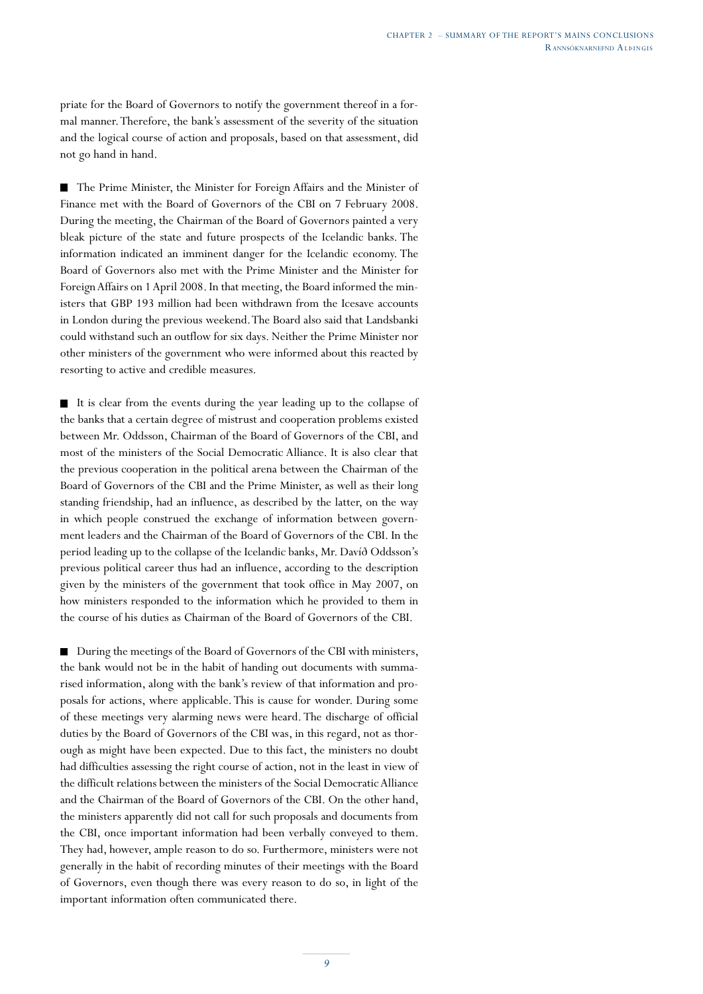priate for the Board of Governors to notify the government thereof in a formal manner. Therefore, the bank's assessment of the severity of the situation and the logical course of action and proposals, based on that assessment, did not go hand in hand.

The Prime Minister, the Minister for Foreign Affairs and the Minister of Finance met with the Board of Governors of the CBI on 7 February 2008. During the meeting, the Chairman of the Board of Governors painted a very bleak picture of the state and future prospects of the Icelandic banks. The information indicated an imminent danger for the Icelandic economy. The Board of Governors also met with the Prime Minister and the Minister for Foreign Affairs on 1 April 2008. In that meeting, the Board informed the ministers that GBP 193 million had been withdrawn from the Icesave accounts in London during the previous weekend. The Board also said that Landsbanki could withstand such an outflow for six days. Neither the Prime Minister nor other ministers of the government who were informed about this reacted by resorting to active and credible measures.

It is clear from the events during the year leading up to the collapse of the banks that a certain degree of mistrust and cooperation problems existed between Mr. Oddsson, Chairman of the Board of Governors of the CBI, and most of the ministers of the Social Democratic Alliance. It is also clear that the previous cooperation in the political arena between the Chairman of the Board of Governors of the CBI and the Prime Minister, as well as their long standing friendship, had an influence, as described by the latter, on the way in which people construed the exchange of information between government leaders and the Chairman of the Board of Governors of the CBI. In the period leading up to the collapse of the Icelandic banks, Mr. Davíð Oddsson's previous political career thus had an influence, according to the description given by the ministers of the government that took office in May 2007, on how ministers responded to the information which he provided to them in the course of his duties as Chairman of the Board of Governors of the CBI.

■ During the meetings of the Board of Governors of the CBI with ministers, the bank would not be in the habit of handing out documents with summarised information, along with the bank's review of that information and proposals for actions, where applicable. This is cause for wonder. During some of these meetings very alarming news were heard. The discharge of official duties by the Board of Governors of the CBI was, in this regard, not as thorough as might have been expected. Due to this fact, the ministers no doubt had difficulties assessing the right course of action, not in the least in view of the difficult relations between the ministers of the Social Democratic Alliance and the Chairman of the Board of Governors of the CBI. On the other hand, the ministers apparently did not call for such proposals and documents from the CBI, once important information had been verbally conveyed to them. They had, however, ample reason to do so. Furthermore, ministers were not generally in the habit of recording minutes of their meetings with the Board of Governors, even though there was every reason to do so, in light of the important information often communicated there.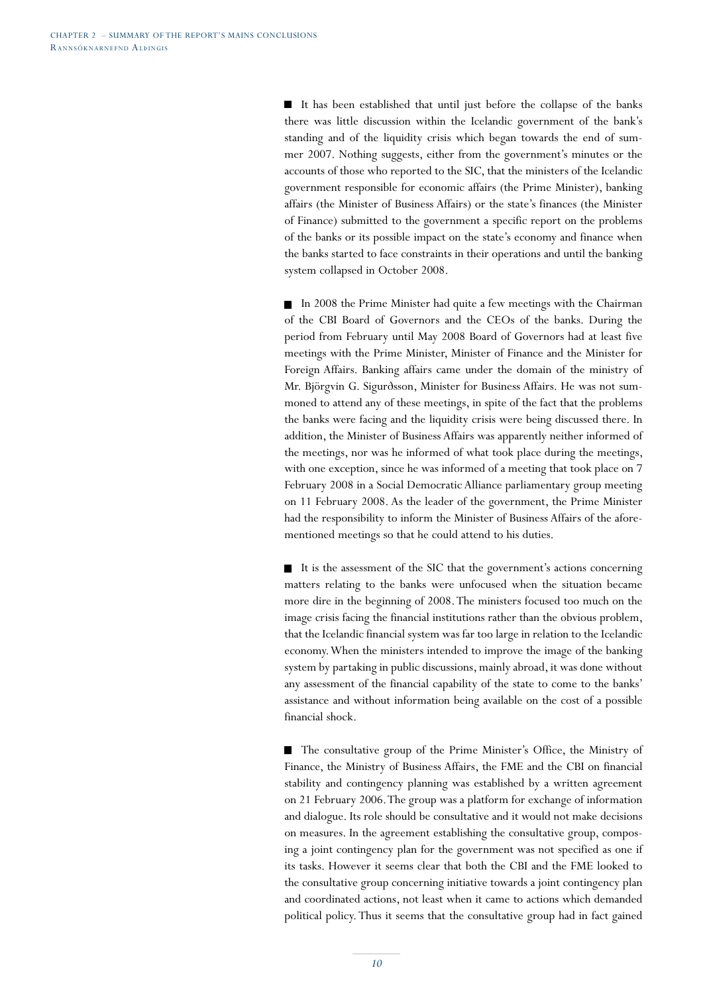It has been established that until just before the collapse of the banks there was little discussion within the Icelandic government of the bank's standing and of the liquidity crisis which began towards the end of summer 2007. Nothing suggests, either from the government's minutes or the accounts of those who reported to the SIC, that the ministers of the Icelandic government responsible for economic affairs (the Prime Minister), banking affairs (the Minister of Business Affairs) or the state's finances (the Minister of Finance) submitted to the government a specific report on the problems of the banks or its possible impact on the state's economy and finance when the banks started to face constraints in their operations and until the banking system collapsed in October 2008.

In 2008 the Prime Minister had quite a few meetings with the Chairman of the CBI Board of Governors and the CEOs of the banks. During the period from February until May 2008 Board of Governors had at least five meetings with the Prime Minister, Minister of Finance and the Minister for Foreign Affairs. Banking affairs came under the domain of the ministry of Mr. Björgvin G. Sigurðsson, Minister for Business Affairs. He was not summoned to attend any of these meetings, in spite of the fact that the problems the banks were facing and the liquidity crisis were being discussed there. In addition, the Minister of Business Affairs was apparently neither informed of the meetings, nor was he informed of what took place during the meetings, with one exception, since he was informed of a meeting that took place on 7 February 2008 in a Social Democratic Alliance parliamentary group meeting on 11 February 2008. As the leader of the government, the Prime Minister had the responsibility to inform the Minister of Business Affairs of the aforementioned meetings so that he could attend to his duties.

It is the assessment of the SIC that the government's actions concerning  $\blacksquare$ matters relating to the banks were unfocused when the situation became more dire in the beginning of 2008. The ministers focused too much on the image crisis facing the financial institutions rather than the obvious problem, that the Icelandic financial system was far too large in relation to the Icelandic economy. When the ministers intended to improve the image of the banking system by partaking in public discussions, mainly abroad, it was done without any assessment of the financial capability of the state to come to the banks' assistance and without information being available on the cost of a possible financial shock.

The consultative group of the Prime Minister's Office, the Ministry of Finance, the Ministry of Business Affairs, the FME and the CBI on financial stability and contingency planning was established by a written agreement on 21 February 2006. The group was a platform for exchange of information and dialogue. Its role should be consultative and it would not make decisions on measures. In the agreement establishing the consultative group, composing a joint contingency plan for the government was not specified as one if its tasks. However it seems clear that both the CBI and the FME looked to the consultative group concerning initiative towards a joint contingency plan and coordinated actions, not least when it came to actions which demanded political policy. Thus it seems that the consultative group had in fact gained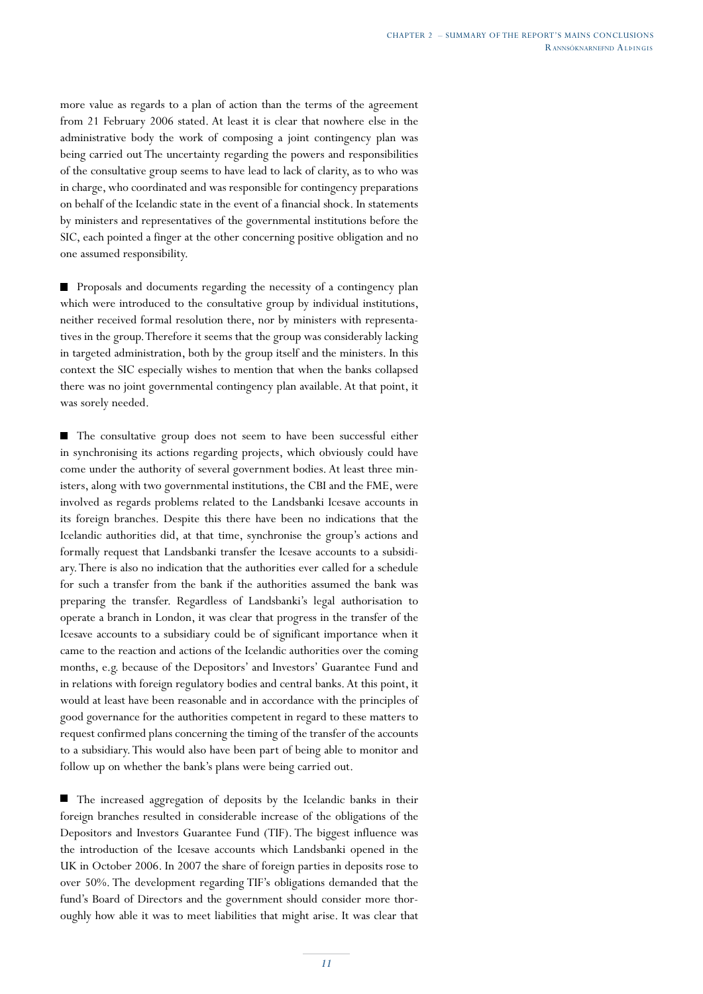more value as regards to a plan of action than the terms of the agreement from 21 February 2006 stated. At least it is clear that nowhere else in the administrative body the work of composing a joint contingency plan was being carried out The uncertainty regarding the powers and responsibilities of the consultative group seems to have lead to lack of clarity, as to who was in charge, who coordinated and was responsible for contingency preparations on behalf of the Icelandic state in the event of a financial shock. In statements by ministers and representatives of the governmental institutions before the SIC, each pointed a finger at the other concerning positive obligation and no one assumed responsibility.

**Proposals and documents regarding the necessity of a contingency plan** which were introduced to the consultative group by individual institutions, neither received formal resolution there, nor by ministers with representatives in the group. Therefore it seems that the group was considerably lacking in targeted administration, both by the group itself and the ministers. In this context the SIC especially wishes to mention that when the banks collapsed there was no joint governmental contingency plan available. At that point, it was sorely needed.

The consultative group does not seem to have been successful either in synchronising its actions regarding projects, which obviously could have come under the authority of several government bodies. At least three ministers, along with two governmental institutions, the CBI and the FME, were involved as regards problems related to the Landsbanki Icesave accounts in its foreign branches. Despite this there have been no indications that the Icelandic authorities did, at that time, synchronise the group's actions and formally request that Landsbanki transfer the Icesave accounts to a subsidiary. There is also no indication that the authorities ever called for a schedule for such a transfer from the bank if the authorities assumed the bank was preparing the transfer. Regardless of Landsbanki's legal authorisation to operate a branch in London, it was clear that progress in the transfer of the Icesave accounts to a subsidiary could be of significant importance when it came to the reaction and actions of the Icelandic authorities over the coming months, e.g. because of the Depositors' and Investors' Guarantee Fund and in relations with foreign regulatory bodies and central banks. At this point, it would at least have been reasonable and in accordance with the principles of good governance for the authorities competent in regard to these matters to request confirmed plans concerning the timing of the transfer of the accounts to a subsidiary. This would also have been part of being able to monitor and follow up on whether the bank's plans were being carried out.

The increased aggregation of deposits by the Icelandic banks in their foreign branches resulted in considerable increase of the obligations of the Depositors and Investors Guarantee Fund (TIF). The biggest influence was the introduction of the Icesave accounts which Landsbanki opened in the UK in October 2006. In 2007 the share of foreign parties in deposits rose to over 50%. The development regarding TIF's obligations demanded that the fund's Board of Directors and the government should consider more thoroughly how able it was to meet liabilities that might arise. It was clear that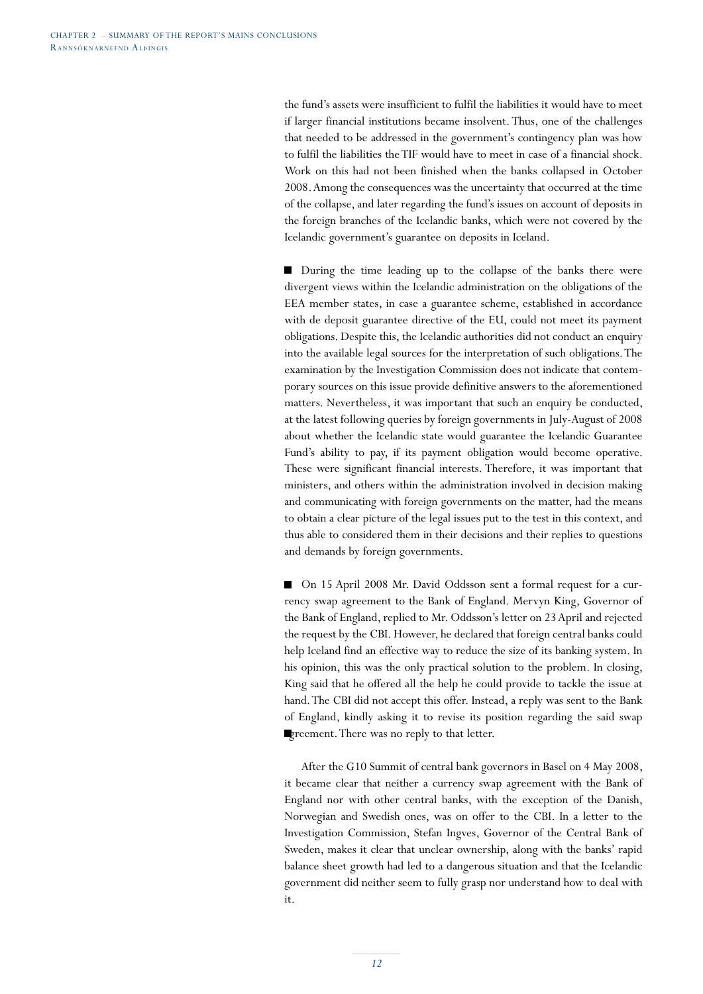the fund's assets were insufficient to fulfil the liabilities it would have to meet if larger financial institutions became insolvent. Thus, one of the challenges that needed to be addressed in the government's contingency plan was how to fulfil the liabilities the TIF would have to meet in case of a financial shock. Work on this had not been finished when the banks collapsed in October 2008. Among the consequences was the uncertainty that occurred at the time of the collapse, and later regarding the fund's issues on account of deposits in the foreign branches of the Icelandic banks, which were not covered by the Icelandic government's guarantee on deposits in Iceland.

■ During the time leading up to the collapse of the banks there were divergent views within the Icelandic administration on the obligations of the EEA member states, in case a guarantee scheme, established in accordance with de deposit guarantee directive of the EU, could not meet its payment obligations. Despite this, the Icelandic authorities did not conduct an enquiry into the available legal sources for the interpretation of such obligations. The examination by the Investigation Commission does not indicate that contemporary sources on this issue provide definitive answers to the aforementioned matters. Nevertheless, it was important that such an enquiry be conducted, at the latest following queries by foreign governments in July-August of 2008 about whether the Icelandic state would guarantee the Icelandic Guarantee Fund's ability to pay, if its payment obligation would become operative. These were significant financial interests. Therefore, it was important that ministers, and others within the administration involved in decision making and communicating with foreign governments on the matter, had the means to obtain a clear picture of the legal issues put to the test in this context, and thus able to considered them in their decisions and their replies to questions and demands by foreign governments.

■ On 15 April 2008 Mr. David Oddsson sent a formal request for a currency swap agreement to the Bank of England. Mervyn King, Governor of the Bank of England, replied to Mr. Oddsson's letter on 23 April and rejected the request by the CBI. However, he declared that foreign central banks could help Iceland find an effective way to reduce the size of its banking system. In his opinion, this was the only practical solution to the problem. In closing, King said that he offered all the help he could provide to tackle the issue at hand. The CBI did not accept this offer. Instead, a reply was sent to the Bank of England, kindly asking it to revise its position regarding the said swap greement. There was no reply to that letter.

After the G10 Summit of central bank governors in Basel on 4 May 2008, it became clear that neither a currency swap agreement with the Bank of England nor with other central banks, with the exception of the Danish, Norwegian and Swedish ones, was on offer to the CBI. In a letter to the Investigation Commission, Stefan Ingves, Governor of the Central Bank of Sweden, makes it clear that unclear ownership, along with the banks' rapid balance sheet growth had led to a dangerous situation and that the Icelandic government did neither seem to fully grasp nor understand how to deal with it.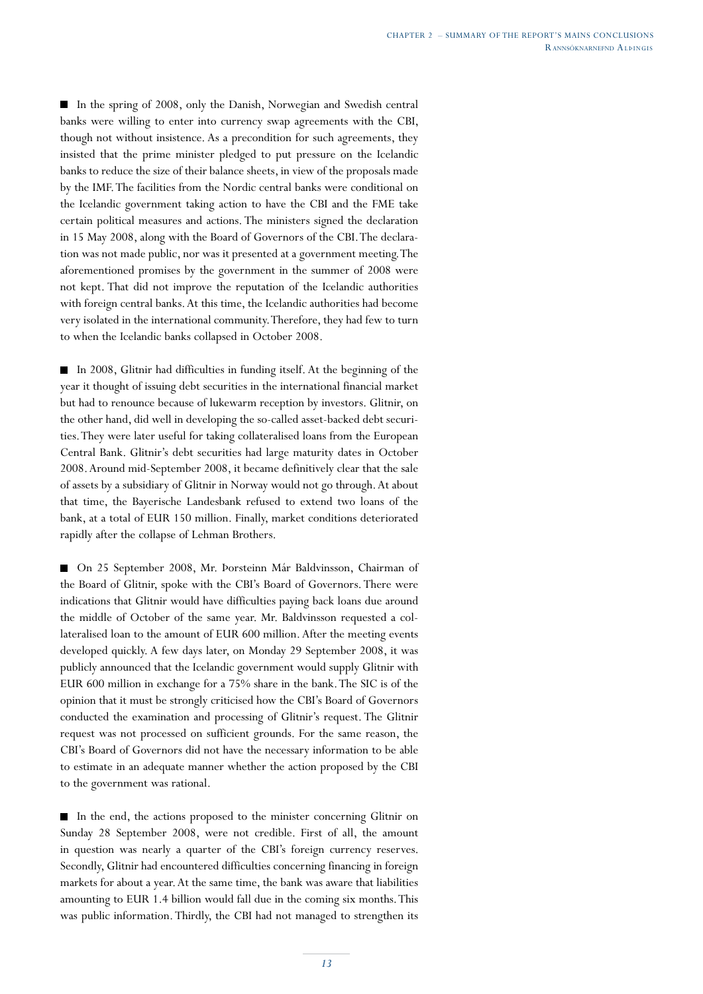In the spring of 2008, only the Danish, Norwegian and Swedish central banks were willing to enter into currency swap agreements with the CBI, though not without insistence. As a precondition for such agreements, they insisted that the prime minister pledged to put pressure on the Icelandic banks to reduce the size of their balance sheets, in view of the proposals made by the IMF. The facilities from the Nordic central banks were conditional on the Icelandic government taking action to have the CBI and the FME take certain political measures and actions. The ministers signed the declaration in 15 May 2008, along with the Board of Governors of the CBI. The declaration was not made public, nor was it presented at a government meeting. The aforementioned promises by the government in the summer of 2008 were not kept. That did not improve the reputation of the Icelandic authorities with foreign central banks. At this time, the Icelandic authorities had become very isolated in the international community. Therefore, they had few to turn to when the Icelandic banks collapsed in October 2008.

In 2008, Glitnir had difficulties in funding itself. At the beginning of the year it thought of issuing debt securities in the international financial market but had to renounce because of lukewarm reception by investors. Glitnir, on the other hand, did well in developing the so-called asset-backed debt securities. They were later useful for taking collateralised loans from the European Central Bank. Glitnir's debt securities had large maturity dates in October 2008. Around mid-September 2008, it became definitively clear that the sale of assets by a subsidiary of Glitnir in Norway would not go through. At about that time, the Bayerische Landesbank refused to extend two loans of the bank, at a total of EUR 150 million. Finally, market conditions deteriorated rapidly after the collapse of Lehman Brothers.

On 25 September 2008, Mr. Þorsteinn Már Baldvinsson, Chairman of the Board of Glitnir, spoke with the CBI's Board of Governors. There were indications that Glitnir would have difficulties paying back loans due around the middle of October of the same year. Mr. Baldvinsson requested a collateralised loan to the amount of EUR 600 million. After the meeting events developed quickly. A few days later, on Monday 29 September 2008, it was publicly announced that the Icelandic government would supply Glitnir with EUR 600 million in exchange for a 75% share in the bank. The SIC is of the opinion that it must be strongly criticised how the CBI's Board of Governors conducted the examination and processing of Glitnir's request. The Glitnir request was not processed on sufficient grounds. For the same reason, the CBI's Board of Governors did not have the necessary information to be able to estimate in an adequate manner whether the action proposed by the CBI to the government was rational.

In the end, the actions proposed to the minister concerning Glitnir on Sunday 28 September 2008, were not credible. First of all, the amount in question was nearly a quarter of the CBI's foreign currency reserves. Secondly, Glitnir had encountered difficulties concerning financing in foreign markets for about a year. At the same time, the bank was aware that liabilities amounting to EUR 1.4 billion would fall due in the coming six months. This was public information. Thirdly, the CBI had not managed to strengthen its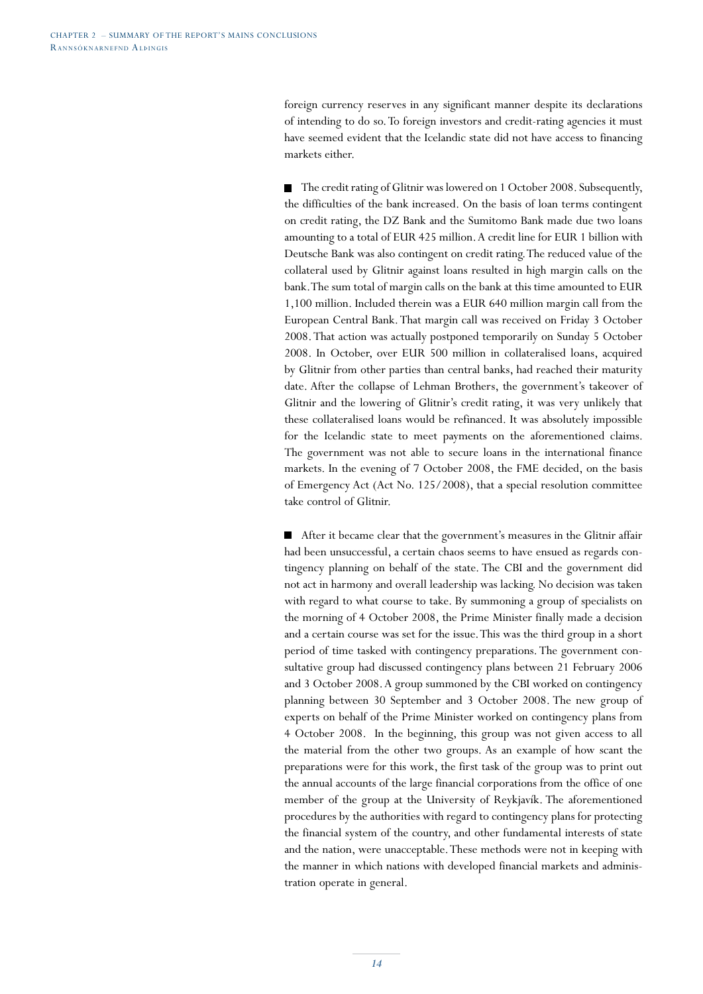foreign currency reserves in any significant manner despite its declarations of intending to do so. To foreign investors and credit-rating agencies it must have seemed evident that the Icelandic state did not have access to financing markets either.

■ The credit rating of Glitnir was lowered on 1 October 2008. Subsequently, the difficulties of the bank increased. On the basis of loan terms contingent on credit rating, the DZ Bank and the Sumitomo Bank made due two loans amounting to a total of EUR 425 million. A credit line for EUR 1 billion with Deutsche Bank was also contingent on credit rating. The reduced value of the collateral used by Glitnir against loans resulted in high margin calls on the bank. The sum total of margin calls on the bank at this time amounted to EUR 1,100 million. Included therein was a EUR 640 million margin call from the European Central Bank. That margin call was received on Friday 3 October 2008. That action was actually postponed temporarily on Sunday 5 October 2008. In October, over EUR 500 million in collateralised loans, acquired by Glitnir from other parties than central banks, had reached their maturity date. After the collapse of Lehman Brothers, the government's takeover of Glitnir and the lowering of Glitnir's credit rating, it was very unlikely that these collateralised loans would be refinanced. It was absolutely impossible for the Icelandic state to meet payments on the aforementioned claims. The government was not able to secure loans in the international finance markets. In the evening of 7 October 2008, the FME decided, on the basis of Emergency Act (Act No. 125/2008), that a special resolution committee take control of Glitnir.

After it became clear that the government's measures in the Glitnir affair had been unsuccessful, a certain chaos seems to have ensued as regards contingency planning on behalf of the state. The CBI and the government did not act in harmony and overall leadership was lacking. No decision was taken with regard to what course to take. By summoning a group of specialists on the morning of 4 October 2008, the Prime Minister finally made a decision and a certain course was set for the issue. This was the third group in a short period of time tasked with contingency preparations. The government consultative group had discussed contingency plans between 21 February 2006 and 3 October 2008. A group summoned by the CBI worked on contingency planning between 30 September and 3 October 2008. The new group of experts on behalf of the Prime Minister worked on contingency plans from 4 October 2008. In the beginning, this group was not given access to all the material from the other two groups. As an example of how scant the preparations were for this work, the first task of the group was to print out the annual accounts of the large financial corporations from the office of one member of the group at the University of Reykjavík. The aforementioned procedures by the authorities with regard to contingency plans for protecting the financial system of the country, and other fundamental interests of state and the nation, were unacceptable. These methods were not in keeping with the manner in which nations with developed financial markets and administration operate in general.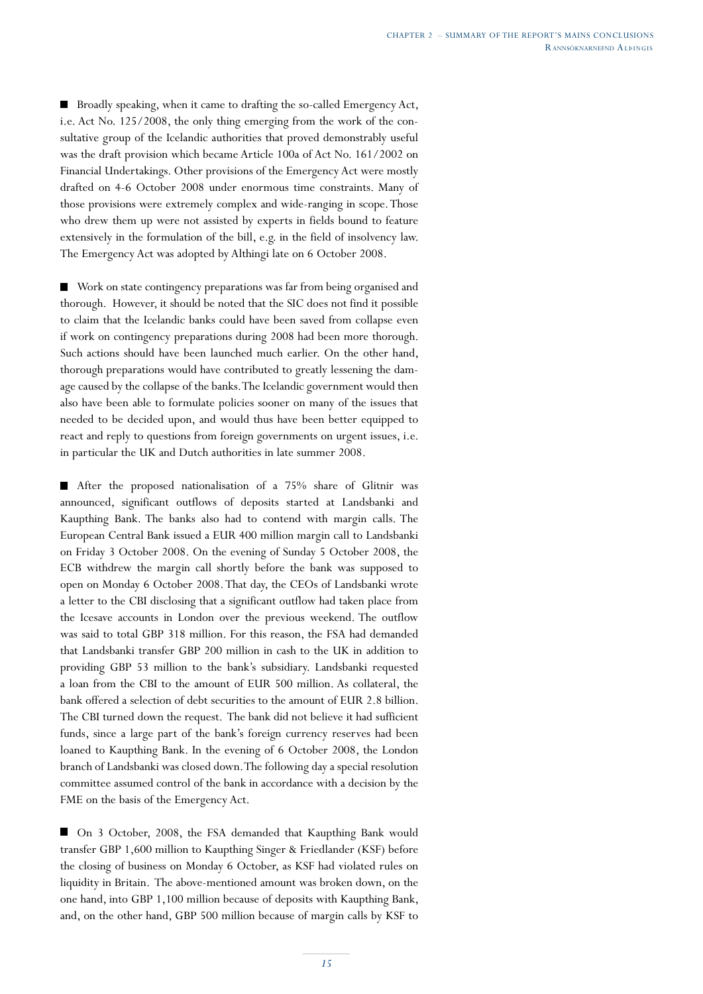Broadly speaking, when it came to drafting the so-called Emergency Act, i.e. Act No. 125/2008, the only thing emerging from the work of the consultative group of the Icelandic authorities that proved demonstrably useful was the draft provision which became Article 100a of Act No. 161/2002 on Financial Undertakings. Other provisions of the Emergency Act were mostly drafted on 4-6 October 2008 under enormous time constraints. Many of those provisions were extremely complex and wide-ranging in scope. Those who drew them up were not assisted by experts in fields bound to feature extensively in the formulation of the bill, e.g. in the field of insolvency law. The Emergency Act was adopted by Althingi late on 6 October 2008.

■ Work on state contingency preparations was far from being organised and thorough. However, it should be noted that the SIC does not find it possible to claim that the Icelandic banks could have been saved from collapse even if work on contingency preparations during 2008 had been more thorough. Such actions should have been launched much earlier. On the other hand, thorough preparations would have contributed to greatly lessening the damage caused by the collapse of the banks. The Icelandic government would then also have been able to formulate policies sooner on many of the issues that needed to be decided upon, and would thus have been better equipped to react and reply to questions from foreign governments on urgent issues, i.e. in particular the UK and Dutch authorities in late summer 2008.

After the proposed nationalisation of a 75% share of Glitnir was announced, significant outflows of deposits started at Landsbanki and Kaupthing Bank. The banks also had to contend with margin calls. The European Central Bank issued a EUR 400 million margin call to Landsbanki on Friday 3 October 2008. On the evening of Sunday 5 October 2008, the ECB withdrew the margin call shortly before the bank was supposed to open on Monday 6 October 2008. That day, the CEOs of Landsbanki wrote a letter to the CBI disclosing that a significant outflow had taken place from the Icesave accounts in London over the previous weekend. The outflow was said to total GBP 318 million. For this reason, the FSA had demanded that Landsbanki transfer GBP 200 million in cash to the UK in addition to providing GBP 53 million to the bank's subsidiary. Landsbanki requested a loan from the CBI to the amount of EUR 500 million. As collateral, the bank offered a selection of debt securities to the amount of EUR 2.8 billion. The CBI turned down the request. The bank did not believe it had sufficient funds, since a large part of the bank's foreign currency reserves had been loaned to Kaupthing Bank. In the evening of 6 October 2008, the London branch of Landsbanki was closed down. The following day a special resolution committee assumed control of the bank in accordance with a decision by the FME on the basis of the Emergency Act.

■ On 3 October, 2008, the FSA demanded that Kaupthing Bank would transfer GBP 1,600 million to Kaupthing Singer & Friedlander (KSF) before the closing of business on Monday 6 October, as KSF had violated rules on liquidity in Britain. The above-mentioned amount was broken down, on the one hand, into GBP 1,100 million because of deposits with Kaupthing Bank, and, on the other hand, GBP 500 million because of margin calls by KSF to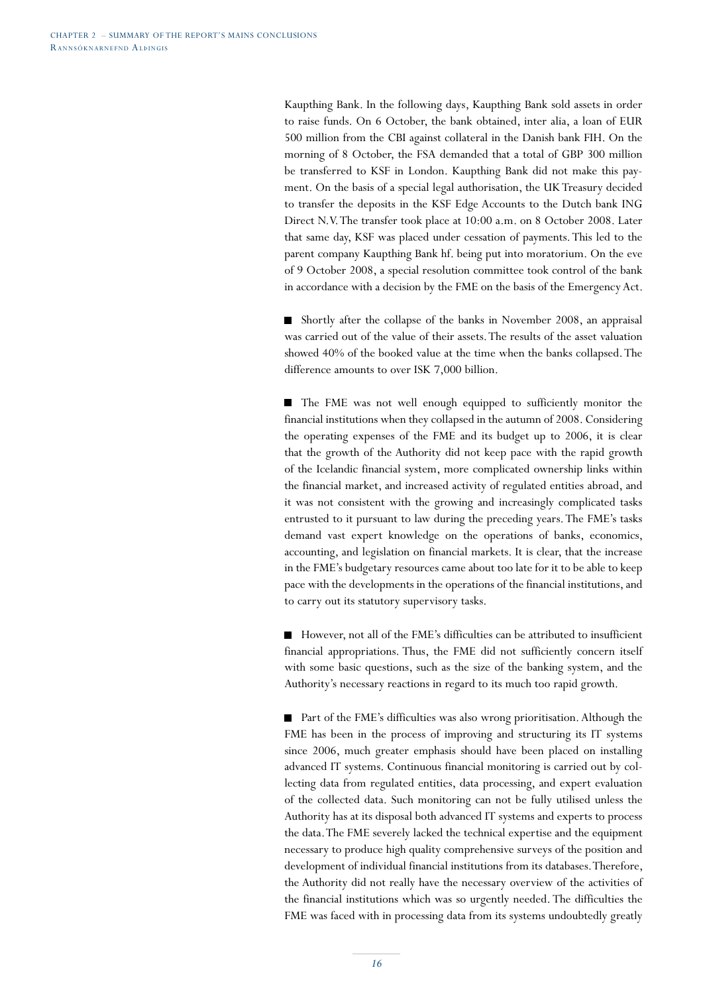Kaupthing Bank. In the following days, Kaupthing Bank sold assets in order to raise funds. On 6 October, the bank obtained, inter alia, a loan of EUR 500 million from the CBI against collateral in the Danish bank FIH. On the morning of 8 October, the FSA demanded that a total of GBP 300 million be transferred to KSF in London. Kaupthing Bank did not make this payment. On the basis of a special legal authorisation, the UK Treasury decided to transfer the deposits in the KSF Edge Accounts to the Dutch bank ING Direct N.V. The transfer took place at 10:00 a.m. on 8 October 2008. Later that same day, KSF was placed under cessation of payments. This led to the parent company Kaupthing Bank hf. being put into moratorium. On the eve of 9 October 2008, a special resolution committee took control of the bank in accordance with a decision by the FME on the basis of the Emergency Act.

Shortly after the collapse of the banks in November 2008, an appraisal was carried out of the value of their assets. The results of the asset valuation showed 40% of the booked value at the time when the banks collapsed. The difference amounts to over ISK 7,000 billion.

The FME was not well enough equipped to sufficiently monitor the financial institutions when they collapsed in the autumn of 2008. Considering the operating expenses of the FME and its budget up to 2006, it is clear that the growth of the Authority did not keep pace with the rapid growth of the Icelandic financial system, more complicated ownership links within the financial market, and increased activity of regulated entities abroad, and it was not consistent with the growing and increasingly complicated tasks entrusted to it pursuant to law during the preceding years. The FME's tasks demand vast expert knowledge on the operations of banks, economics, accounting, and legislation on financial markets. It is clear, that the increase in the FME's budgetary resources came about too late for it to be able to keep pace with the developments in the operations of the financial institutions, and to carry out its statutory supervisory tasks.

 $\blacksquare$ However, not all of the FME's difficulties can be attributed to insufficient financial appropriations. Thus, the FME did not sufficiently concern itself with some basic questions, such as the size of the banking system, and the Authority's necessary reactions in regard to its much too rapid growth.

■ Part of the FME's difficulties was also wrong prioritisation. Although the FME has been in the process of improving and structuring its IT systems since 2006, much greater emphasis should have been placed on installing advanced IT systems. Continuous financial monitoring is carried out by collecting data from regulated entities, data processing, and expert evaluation of the collected data. Such monitoring can not be fully utilised unless the Authority has at its disposal both advanced IT systems and experts to process the data. The FME severely lacked the technical expertise and the equipment necessary to produce high quality comprehensive surveys of the position and development of individual financial institutions from its databases. Therefore, the Authority did not really have the necessary overview of the activities of the financial institutions which was so urgently needed. The difficulties the FME was faced with in processing data from its systems undoubtedly greatly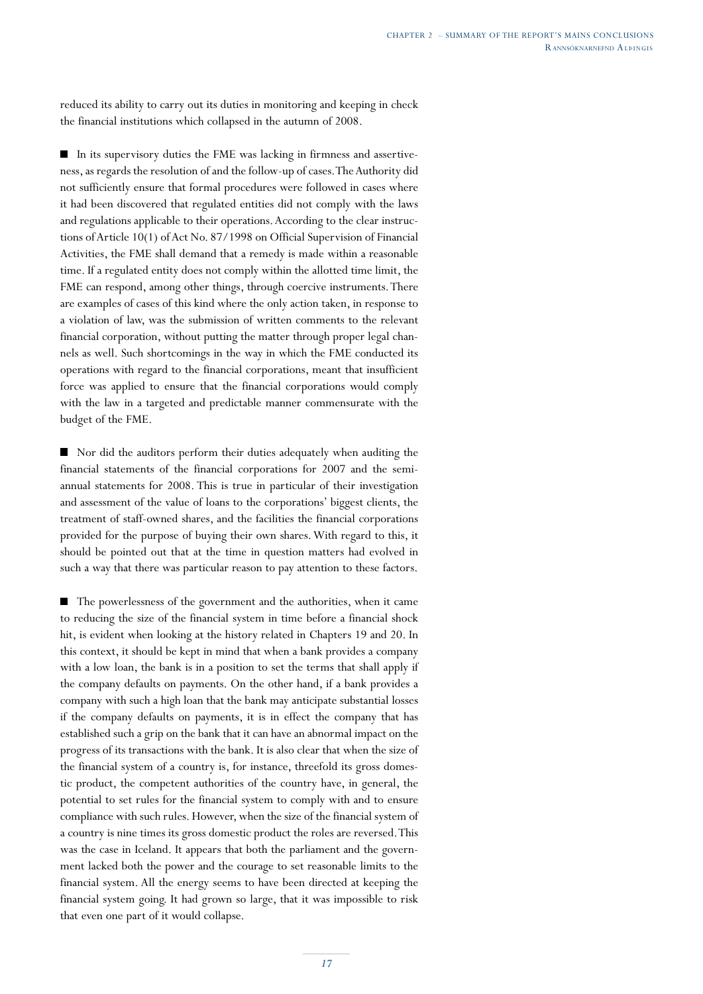reduced its ability to carry out its duties in monitoring and keeping in check the financial institutions which collapsed in the autumn of 2008.

 $\blacksquare$  In its supervisory duties the FME was lacking in firmness and assertiveness, as regards the resolution of and the follow-up of cases. The Authority did not sufficiently ensure that formal procedures were followed in cases where it had been discovered that regulated entities did not comply with the laws and regulations applicable to their operations. According to the clear instructions of Article 10(1) of Act No. 87/1998 on Official Supervision of Financial Activities, the FME shall demand that a remedy is made within a reasonable time. If a regulated entity does not comply within the allotted time limit, the FME can respond, among other things, through coercive instruments. There are examples of cases of this kind where the only action taken, in response to a violation of law, was the submission of written comments to the relevant financial corporation, without putting the matter through proper legal channels as well. Such shortcomings in the way in which the FME conducted its operations with regard to the financial corporations, meant that insufficient force was applied to ensure that the financial corporations would comply with the law in a targeted and predictable manner commensurate with the budget of the FME.

■ Nor did the auditors perform their duties adequately when auditing the financial statements of the financial corporations for 2007 and the semiannual statements for 2008. This is true in particular of their investigation and assessment of the value of loans to the corporations' biggest clients, the treatment of staff-owned shares, and the facilities the financial corporations provided for the purpose of buying their own shares. With regard to this, it should be pointed out that at the time in question matters had evolved in such a way that there was particular reason to pay attention to these factors.

The powerlessness of the government and the authorities, when it came to reducing the size of the financial system in time before a financial shock hit, is evident when looking at the history related in Chapters 19 and 20. In this context, it should be kept in mind that when a bank provides a company with a low loan, the bank is in a position to set the terms that shall apply if the company defaults on payments. On the other hand, if a bank provides a company with such a high loan that the bank may anticipate substantial losses if the company defaults on payments, it is in effect the company that has established such a grip on the bank that it can have an abnormal impact on the progress of its transactions with the bank. It is also clear that when the size of the financial system of a country is, for instance, threefold its gross domestic product, the competent authorities of the country have, in general, the potential to set rules for the financial system to comply with and to ensure compliance with such rules. However, when the size of the financial system of a country is nine times its gross domestic product the roles are reversed. This was the case in Iceland. It appears that both the parliament and the government lacked both the power and the courage to set reasonable limits to the financial system. All the energy seems to have been directed at keeping the financial system going. It had grown so large, that it was impossible to risk that even one part of it would collapse.